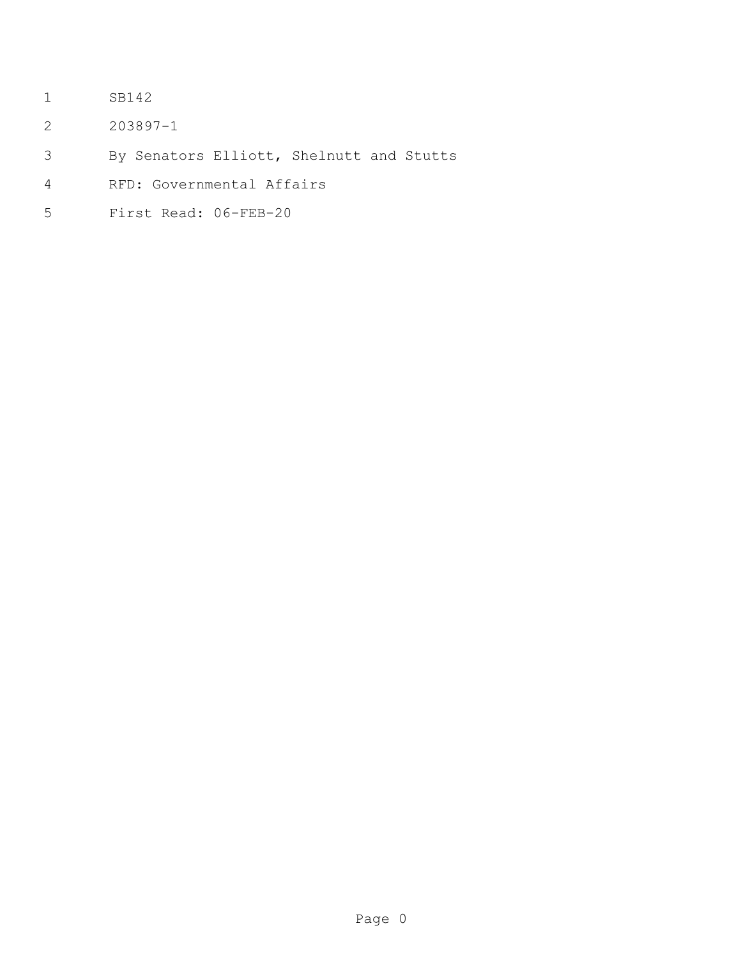- SB142
- 203897-1
- By Senators Elliott, Shelnutt and Stutts
- RFD: Governmental Affairs
- First Read: 06-FEB-20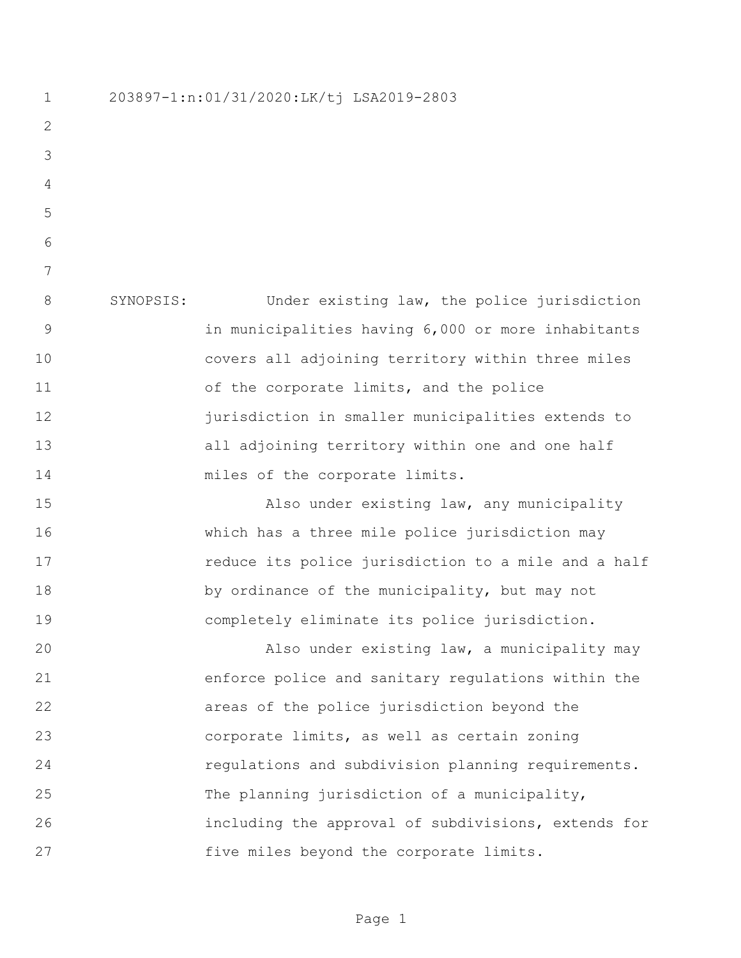| 203897-1:n:01/31/2020:LK/tj LSA2019-2803 |  |
|------------------------------------------|--|
|------------------------------------------|--|

 SYNOPSIS: Under existing law, the police jurisdiction in municipalities having 6,000 or more inhabitants covers all adjoining territory within three miles 11 of the corporate limits, and the police jurisdiction in smaller municipalities extends to all adjoining territory within one and one half 14 miles of the corporate limits.

15 Also under existing law, any municipality which has a three mile police jurisdiction may **reduce its police jurisdiction to a mile and a half** 18 by ordinance of the municipality, but may not completely eliminate its police jurisdiction.

 Also under existing law, a municipality may enforce police and sanitary regulations within the areas of the police jurisdiction beyond the corporate limits, as well as certain zoning regulations and subdivision planning requirements. The planning jurisdiction of a municipality, including the approval of subdivisions, extends for five miles beyond the corporate limits.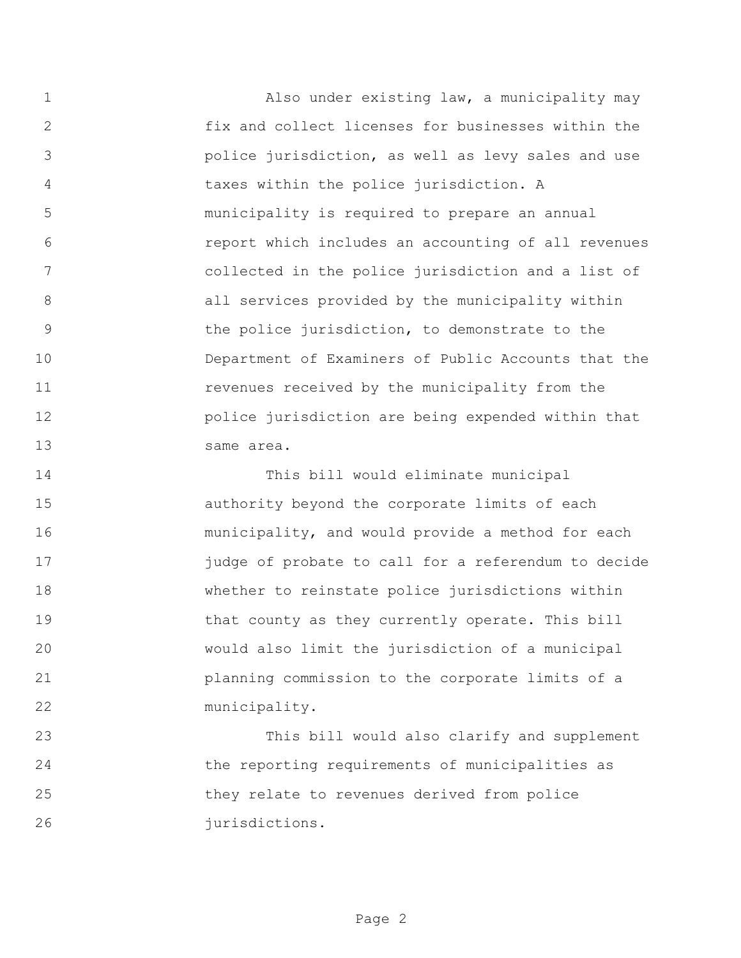Also under existing law, a municipality may fix and collect licenses for businesses within the police jurisdiction, as well as levy sales and use taxes within the police jurisdiction. A municipality is required to prepare an annual report which includes an accounting of all revenues collected in the police jurisdiction and a list of 8 all services provided by the municipality within the police jurisdiction, to demonstrate to the Department of Examiners of Public Accounts that the revenues received by the municipality from the police jurisdiction are being expended within that same area.

 This bill would eliminate municipal authority beyond the corporate limits of each municipality, and would provide a method for each judge of probate to call for a referendum to decide whether to reinstate police jurisdictions within 19 that county as they currently operate. This bill would also limit the jurisdiction of a municipal planning commission to the corporate limits of a municipality.

 This bill would also clarify and supplement the reporting requirements of municipalities as they relate to revenues derived from police 26 iurisdictions.

Page 2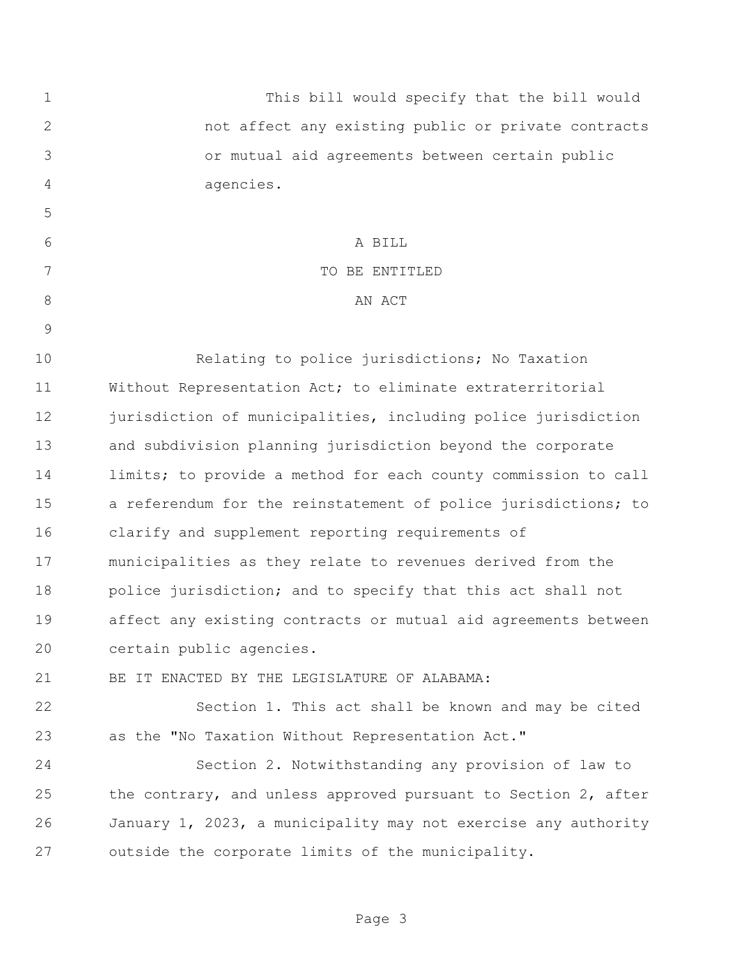| 1              | This bill would specify that the bill would                    |
|----------------|----------------------------------------------------------------|
| $\mathbf{2}$   | not affect any existing public or private contracts            |
| 3              | or mutual aid agreements between certain public                |
| $\overline{4}$ | agencies.                                                      |
| 5              |                                                                |
| 6              | A BILL                                                         |
| 7              | TO BE ENTITLED                                                 |
| $8\,$          | AN ACT                                                         |
| $\mathcal{G}$  |                                                                |
| 10             | Relating to police jurisdictions; No Taxation                  |
| 11             | Without Representation Act; to eliminate extraterritorial      |
| 12             | jurisdiction of municipalities, including police jurisdiction  |
| 13             | and subdivision planning jurisdiction beyond the corporate     |
| 14             | limits; to provide a method for each county commission to call |
| 15             | a referendum for the reinstatement of police jurisdictions; to |
| 16             | clarify and supplement reporting requirements of               |
| 17             | municipalities as they relate to revenues derived from the     |
| 18             | police jurisdiction; and to specify that this act shall not    |
| 19             | affect any existing contracts or mutual aid agreements between |
| 20             | certain public agencies.                                       |
| 21             | BE IT ENACTED BY THE LEGISLATURE OF ALABAMA:                   |
| 22             | Section 1. This act shall be known and may be cited            |
| 23             | as the "No Taxation Without Representation Act."               |
| 24             | Section 2. Notwithstanding any provision of law to             |
| 25             | the contrary, and unless approved pursuant to Section 2, after |
| 26             | January 1, 2023, a municipality may not exercise any authority |
| 27             | outside the corporate limits of the municipality.              |
|                |                                                                |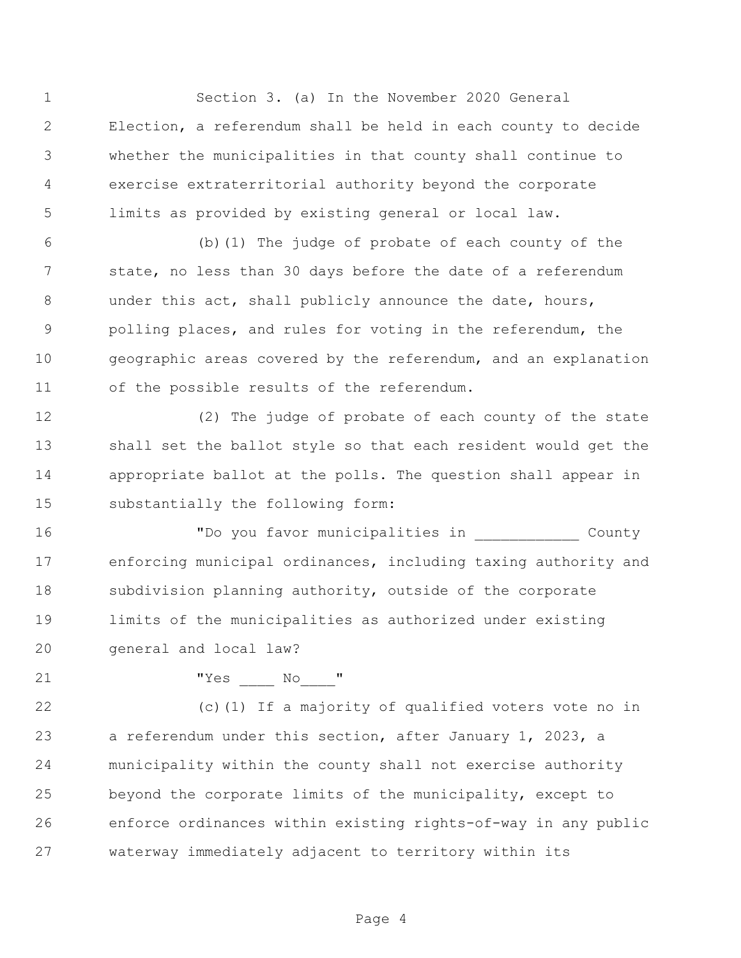Section 3. (a) In the November 2020 General Election, a referendum shall be held in each county to decide whether the municipalities in that county shall continue to exercise extraterritorial authority beyond the corporate limits as provided by existing general or local law.

 (b)(1) The judge of probate of each county of the state, no less than 30 days before the date of a referendum 8 under this act, shall publicly announce the date, hours, polling places, and rules for voting in the referendum, the geographic areas covered by the referendum, and an explanation of the possible results of the referendum.

 (2) The judge of probate of each county of the state shall set the ballot style so that each resident would get the appropriate ballot at the polls. The question shall appear in substantially the following form:

 "Do you favor municipalities in \_\_\_\_\_\_\_\_\_\_\_\_ County enforcing municipal ordinances, including taxing authority and 18 subdivision planning authority, outside of the corporate limits of the municipalities as authorized under existing general and local law?

"Yes \_\_\_\_ No\_\_\_\_"

 (c)(1) If a majority of qualified voters vote no in a referendum under this section, after January 1, 2023, a municipality within the county shall not exercise authority beyond the corporate limits of the municipality, except to enforce ordinances within existing rights-of-way in any public waterway immediately adjacent to territory within its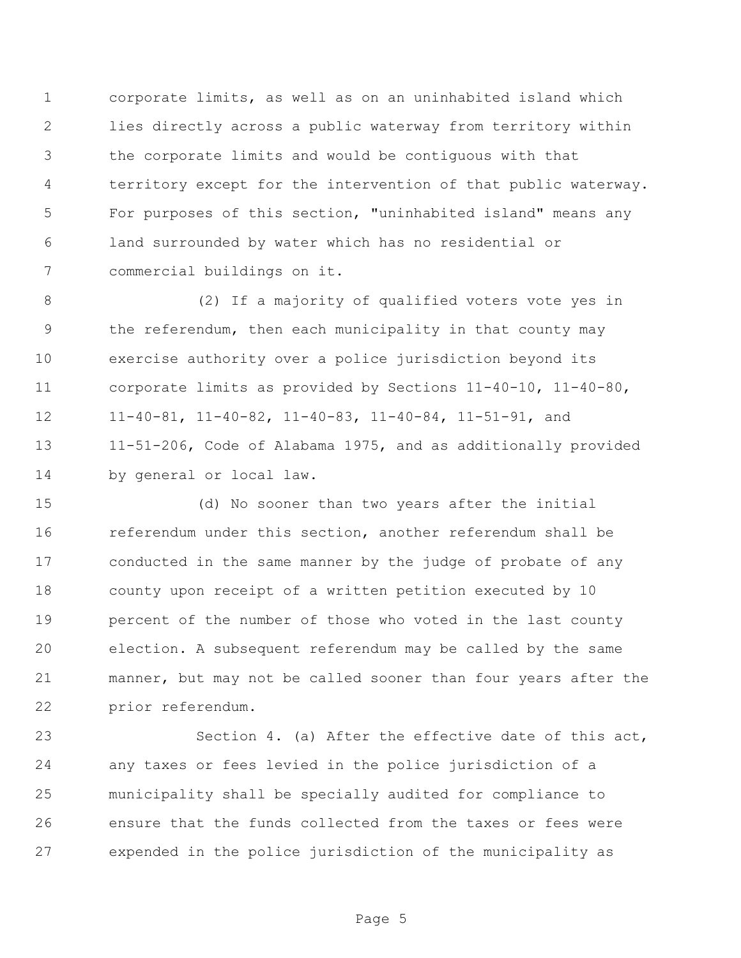corporate limits, as well as on an uninhabited island which lies directly across a public waterway from territory within the corporate limits and would be contiguous with that territory except for the intervention of that public waterway. For purposes of this section, "uninhabited island" means any land surrounded by water which has no residential or commercial buildings on it.

 (2) If a majority of qualified voters vote yes in the referendum, then each municipality in that county may exercise authority over a police jurisdiction beyond its corporate limits as provided by Sections 11-40-10, 11-40-80, 11-40-81, 11-40-82, 11-40-83, 11-40-84, 11-51-91, and 11-51-206, Code of Alabama 1975, and as additionally provided by general or local law.

 (d) No sooner than two years after the initial referendum under this section, another referendum shall be conducted in the same manner by the judge of probate of any county upon receipt of a written petition executed by 10 percent of the number of those who voted in the last county election. A subsequent referendum may be called by the same manner, but may not be called sooner than four years after the prior referendum.

 Section 4. (a) After the effective date of this act, any taxes or fees levied in the police jurisdiction of a municipality shall be specially audited for compliance to ensure that the funds collected from the taxes or fees were expended in the police jurisdiction of the municipality as